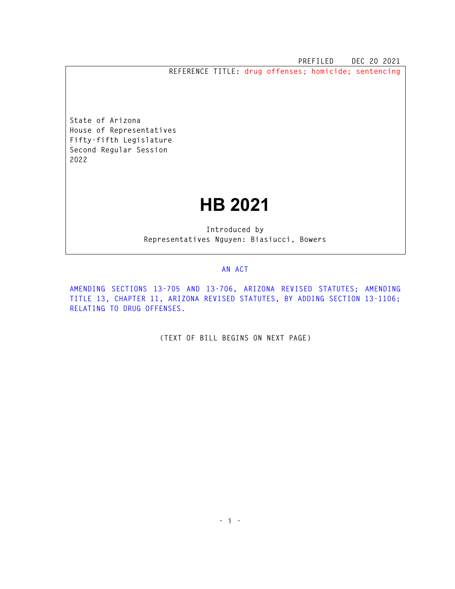**PREFILED DEC 20 2021** 

**REFERENCE TITLE: drug offenses; homicide; sentencing** 

**State of Arizona House of Representatives Fifty-fifth Legislature Second Regular Session 2022** 

## **HB 2021**

**Introduced by Representatives Nguyen: Biasiucci, Bowers** 

## **AN ACT**

**AMENDING SECTIONS 13-705 AND 13-706, ARIZONA REVISED STATUTES; AMENDING TITLE 13, CHAPTER 11, ARIZONA REVISED STATUTES, BY ADDING SECTION 13-1106; RELATING TO DRUG OFFENSES.** 

**(TEXT OF BILL BEGINS ON NEXT PAGE)**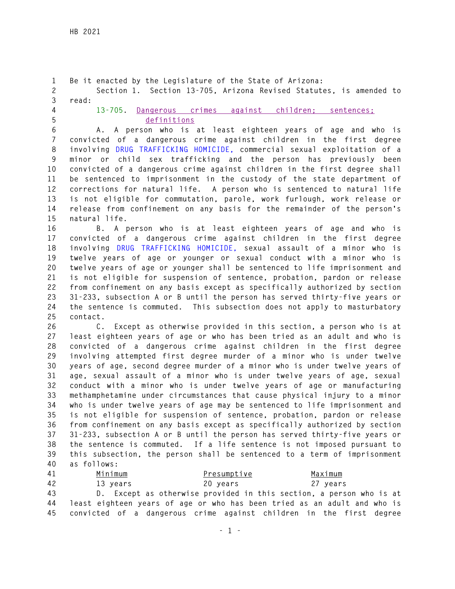**1 Be it enacted by the Legislature of the State of Arizona: 2 Section 1. Section 13-705, Arizona Revised Statutes, is amended to 3 read: 4 13-705. Dangerous crimes against children; sentences; 5 definitions 6 A. A person who is at least eighteen years of age and who is 7 convicted of a dangerous crime against children in the first degree 8 involving DRUG TRAFFICKING HOMICIDE, commercial sexual exploitation of a 9 minor or child sex trafficking and the person has previously been 10 convicted of a dangerous crime against children in the first degree shall 11 be sentenced to imprisonment in the custody of the state department of 12 corrections for natural life. A person who is sentenced to natural life 13 is not eligible for commutation, parole, work furlough, work release or 14 release from confinement on any basis for the remainder of the person's 15 natural life. 16 B. A person who is at least eighteen years of age and who is 17 convicted of a dangerous crime against children in the first degree 18 involving DRUG TRAFFICKING HOMICIDE, sexual assault of a minor who is 19 twelve years of age or younger or sexual conduct with a minor who is 20 twelve years of age or younger shall be sentenced to life imprisonment and 21 is not eligible for suspension of sentence, probation, pardon or release 22 from confinement on any basis except as specifically authorized by section 23 31-233, subsection A or B until the person has served thirty-five years or 24 the sentence is commuted. This subsection does not apply to masturbatory 25 contact. 26 C. Except as otherwise provided in this section, a person who is at 27 least eighteen years of age or who has been tried as an adult and who is 28 convicted of a dangerous crime against children in the first degree 29 involving attempted first degree murder of a minor who is under twelve 30 years of age, second degree murder of a minor who is under twelve years of 31 age, sexual assault of a minor who is under twelve years of age, sexual 32 conduct with a minor who is under twelve years of age or manufacturing 33 methamphetamine under circumstances that cause physical injury to a minor 34 who is under twelve years of age may be sentenced to life imprisonment and 35 is not eligible for suspension of sentence, probation, pardon or release 36 from confinement on any basis except as specifically authorized by section 37 31-233, subsection A or B until the person has served thirty-five years or 38 the sentence is commuted. If a life sentence is not imposed pursuant to 39 this subsection, the person shall be sentenced to a term of imprisonment 40 as follows: 41 Minimum Presumptive Maximum 42 13 years 20 years 27 years 43 D. Except as otherwise provided in this section, a person who is at 44 least eighteen years of age or who has been tried as an adult and who is** 

**45 convicted of a dangerous crime against children in the first degree**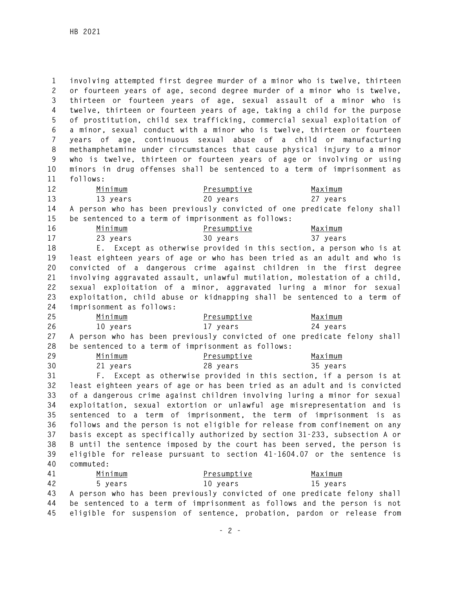**1 involving attempted first degree murder of a minor who is twelve, thirteen 2 or fourteen years of age, second degree murder of a minor who is twelve, 3 thirteen or fourteen years of age, sexual assault of a minor who is 4 twelve, thirteen or fourteen years of age, taking a child for the purpose 5 of prostitution, child sex trafficking, commercial sexual exploitation of 6 a minor, sexual conduct with a minor who is twelve, thirteen or fourteen 7 years of age, continuous sexual abuse of a child or manufacturing 8 methamphetamine under circumstances that cause physical injury to a minor 9 who is twelve, thirteen or fourteen years of age or involving or using 10 minors in drug offenses shall be sentenced to a term of imprisonment as 11 follows:** 

**12 Minimum Presumptive Maximum 13 13 years 20 years 27 years 14 A person who has been previously convicted of one predicate felony shall 15 be sentenced to a term of imprisonment as follows:** 

| 16 | Minimum  | Presumptive | Maximum  |
|----|----------|-------------|----------|
|    | 23 years | 30 years    | 37 years |

**18 E. Except as otherwise provided in this section, a person who is at 19 least eighteen years of age or who has been tried as an adult and who is 20 convicted of a dangerous crime against children in the first degree 21 involving aggravated assault, unlawful mutilation, molestation of a child, 22 sexual exploitation of a minor, aggravated luring a minor for sexual 23 exploitation, child abuse or kidnapping shall be sentenced to a term of 24 imprisonment as follows:** 

| 25 | <u>Minimum</u> | Presumptive | <u>Maximum</u>                                                              |
|----|----------------|-------------|-----------------------------------------------------------------------------|
| 26 | 10 vears       | 17 vears    | 24 vears                                                                    |
|    |                |             | 27 A person who has been previously convicted of one predicate felony shall |

**28 be sentenced to a term of imprisonment as follows: 29 Minimum Presumptive Maximum** 

**30 21 years 28 years 35 years 31 F. Except as otherwise provided in this section, if a person is at 32 least eighteen years of age or has been tried as an adult and is convicted 33 of a dangerous crime against children involving luring a minor for sexual 34 exploitation, sexual extortion or unlawful age misrepresentation and is 35 sentenced to a term of imprisonment, the term of imprisonment is as 36 follows and the person is not eligible for release from confinement on any 37 basis except as specifically authorized by section 31-233, subsection A or 38 B until the sentence imposed by the court has been served, the person is 39 eligible for release pursuant to section 41-1604.07 or the sentence is 40 commuted:** 

**41 Minimum Presumptive Maximum 42 5 years 10 years 15 years 43 A person who has been previously convicted of one predicate felony shall 44 be sentenced to a term of imprisonment as follows and the person is not 45 eligible for suspension of sentence, probation, pardon or release from**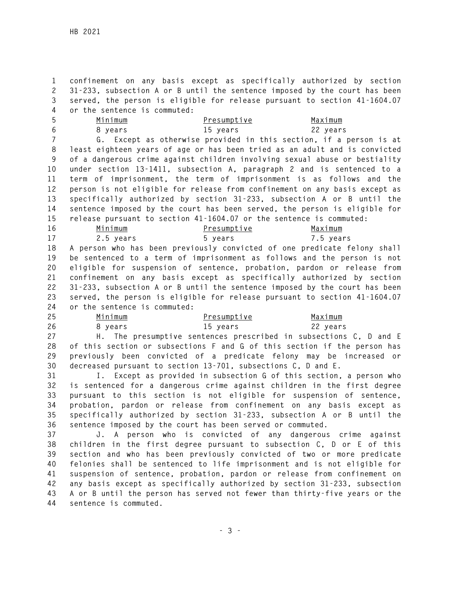**1 confinement on any basis except as specifically authorized by section 2 31-233, subsection A or B until the sentence imposed by the court has been 3 served, the person is eligible for release pursuant to section 41-1604.07 4 or the sentence is commuted:** 

| Minimum | Presumptive | Maximum  |
|---------|-------------|----------|
| 8 years | 15 years    | 22 years |

**7 G. Except as otherwise provided in this section, if a person is at 8 least eighteen years of age or has been tried as an adult and is convicted 9 of a dangerous crime against children involving sexual abuse or bestiality 10 under section 13-1411, subsection A, paragraph 2 and is sentenced to a 11 term of imprisonment, the term of imprisonment is as follows and the 12 person is not eligible for release from confinement on any basis except as 13 specifically authorized by section 31-233, subsection A or B until the 14 sentence imposed by the court has been served, the person is eligible for 15 release pursuant to section 41-1604.07 or the sentence is commuted:** 

| 16 | Minimum                         | Presumptive | <u>Maximum</u>                                                             |
|----|---------------------------------|-------------|----------------------------------------------------------------------------|
| 17 | 2.5 years                       | 5 years     | 7.5 years                                                                  |
| 18 |                                 |             | A person who has been previously convicted of one predicate felony shall   |
| 19 |                                 |             | be sentenced to a term of imprisonment as follows and the person is not    |
| 20 |                                 |             | eligible for suspension of sentence, probation, pardon or release from     |
| 21 |                                 |             | confinement on any basis except as specifically authorized by section      |
| 22 |                                 |             | 31-233, subsection A or B until the sentence imposed by the court has been |
| 23 |                                 |             | served, the person is eligible for release pursuant to section 41-1604.07  |
|    | 24 or the sentence is commuted: |             |                                                                            |

| 25 | Minimum | Presumptive | Maximum  |
|----|---------|-------------|----------|
| 26 | 8 vears | 15 years    | 22 years |

**27 H. The presumptive sentences prescribed in subsections C, D and E 28 of this section or subsections F and G of this section if the person has 29 previously been convicted of a predicate felony may be increased or 30 decreased pursuant to section 13-701, subsections C, D and E.** 

**31 I. Except as provided in subsection G of this section, a person who 32 is sentenced for a dangerous crime against children in the first degree 33 pursuant to this section is not eligible for suspension of sentence, 34 probation, pardon or release from confinement on any basis except as 35 specifically authorized by section 31-233, subsection A or B until the 36 sentence imposed by the court has been served or commuted.** 

**37 J. A person who is convicted of any dangerous crime against 38 children in the first degree pursuant to subsection C, D or E of this 39 section and who has been previously convicted of two or more predicate 40 felonies shall be sentenced to life imprisonment and is not eligible for 41 suspension of sentence, probation, pardon or release from confinement on 42 any basis except as specifically authorized by section 31-233, subsection 43 A or B until the person has served not fewer than thirty-five years or the 44 sentence is commuted.**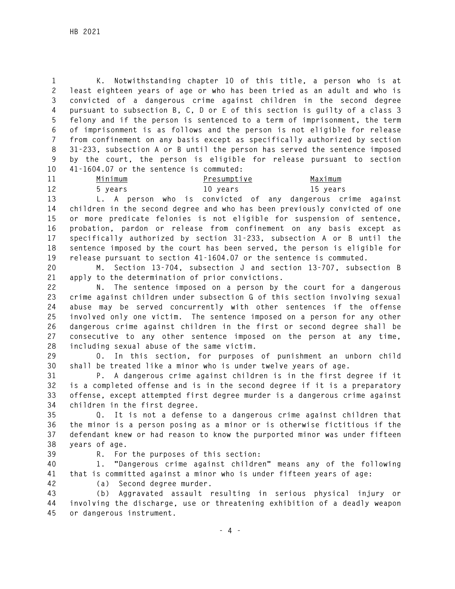**1 K. Notwithstanding chapter 10 of this title, a person who is at 2 least eighteen years of age or who has been tried as an adult and who is 3 convicted of a dangerous crime against children in the second degree 4 pursuant to subsection B, C, D or E of this section is guilty of a class 3 5 felony and if the person is sentenced to a term of imprisonment, the term 6 of imprisonment is as follows and the person is not eligible for release 7 from confinement on any basis except as specifically authorized by section 8 31-233, subsection A or B until the person has served the sentence imposed 9 by the court, the person is eligible for release pursuant to section 10 41-1604.07 or the sentence is commuted:** 

**11 Minimum Presumptive Maximum 12 5 years 10 years 15 years** 

**13 L. A person who is convicted of any dangerous crime against 14 children in the second degree and who has been previously convicted of one 15 or more predicate felonies is not eligible for suspension of sentence, 16 probation, pardon or release from confinement on any basis except as 17 specifically authorized by section 31-233, subsection A or B until the 18 sentence imposed by the court has been served, the person is eligible for** 

**19 release pursuant to section 41-1604.07 or the sentence is commuted.** 

**20 M. Section 13-704, subsection J and section 13-707, subsection B 21 apply to the determination of prior convictions.** 

**22 N. The sentence imposed on a person by the court for a dangerous 23 crime against children under subsection G of this section involving sexual 24 abuse may be served concurrently with other sentences if the offense 25 involved only one victim. The sentence imposed on a person for any other 26 dangerous crime against children in the first or second degree shall be 27 consecutive to any other sentence imposed on the person at any time, 28 including sexual abuse of the same victim.** 

**29 O. In this section, for purposes of punishment an unborn child 30 shall be treated like a minor who is under twelve years of age.** 

**31 P. A dangerous crime against children is in the first degree if it 32 is a completed offense and is in the second degree if it is a preparatory 33 offense, except attempted first degree murder is a dangerous crime against 34 children in the first degree.** 

**35 Q. It is not a defense to a dangerous crime against children that 36 the minor is a person posing as a minor or is otherwise fictitious if the 37 defendant knew or had reason to know the purported minor was under fifteen 38 years of age.** 

**39 R. For the purposes of this section:** 

**40 1. "Dangerous crime against children" means any of the following 41 that is committed against a minor who is under fifteen years of age:** 

**42 (a) Second degree murder.** 

**43 (b) Aggravated assault resulting in serious physical injury or 44 involving the discharge, use or threatening exhibition of a deadly weapon 45 or dangerous instrument.**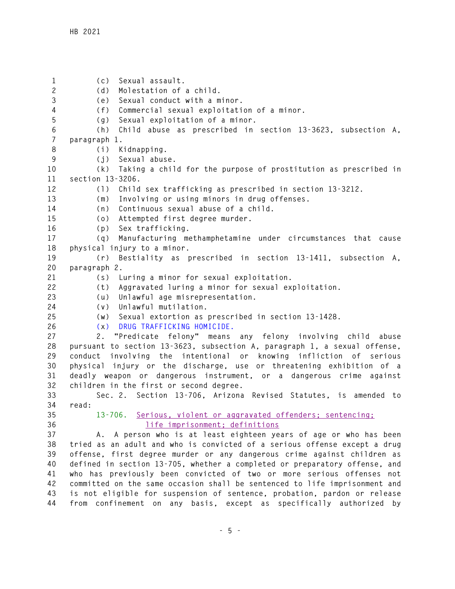**1 (c) Sexual assault. 2 (d) Molestation of a child. 3 (e) Sexual conduct with a minor. 4 (f) Commercial sexual exploitation of a minor. 5 (g) Sexual exploitation of a minor. 6 (h) Child abuse as prescribed in section 13-3623, subsection A, 7 paragraph 1. 8 (i) Kidnapping. 9 (j) Sexual abuse. 10 (k) Taking a child for the purpose of prostitution as prescribed in 11 section 13-3206. 12 (l) Child sex trafficking as prescribed in section 13-3212. 13 (m) Involving or using minors in drug offenses. 14 (n) Continuous sexual abuse of a child. 15 (o) Attempted first degree murder. 16 (p) Sex trafficking. 17 (q) Manufacturing methamphetamine under circumstances that cause 18 physical injury to a minor. 19 (r) Bestiality as prescribed in section 13-1411, subsection A, 20 paragraph 2. 21 (s) Luring a minor for sexual exploitation. 22 (t) Aggravated luring a minor for sexual exploitation. 23 (u) Unlawful age misrepresentation. 24 (v) Unlawful mutilation. 25 (w) Sexual extortion as prescribed in section 13-1428. 26 (x) DRUG TRAFFICKING HOMICIDE. 27 2. "Predicate felony" means any felony involving child abuse 28 pursuant to section 13-3623, subsection A, paragraph 1, a sexual offense, 29 conduct involving the intentional or knowing infliction of serious 30 physical injury or the discharge, use or threatening exhibition of a 31 deadly weapon or dangerous instrument, or a dangerous crime against 32 children in the first or second degree. 33 Sec. 2. Section 13-706, Arizona Revised Statutes, is amended to 34 read: 35 13-706. Serious, violent or aggravated offenders; sentencing; 36 life imprisonment; definitions 37 A. A person who is at least eighteen years of age or who has been 38 tried as an adult and who is convicted of a serious offense except a drug 39 offense, first degree murder or any dangerous crime against children as 40 defined in section 13-705, whether a completed or preparatory offense, and 41 who has previously been convicted of two or more serious offenses not 42 committed on the same occasion shall be sentenced to life imprisonment and 43 is not eligible for suspension of sentence, probation, pardon or release 44 from confinement on any basis, except as specifically authorized by**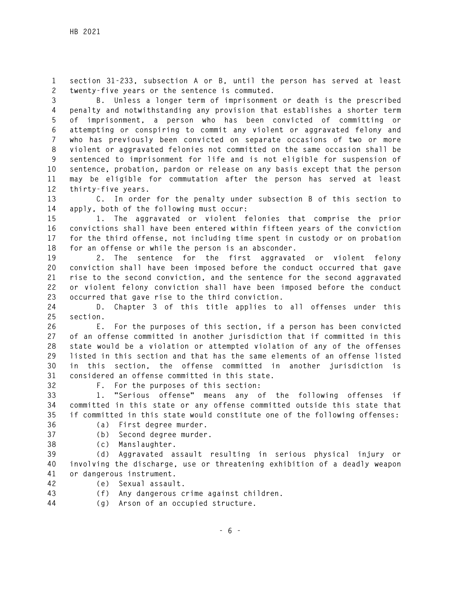**1 section 31-233, subsection A or B, until the person has served at least 2 twenty-five years or the sentence is commuted.** 

**3 B. Unless a longer term of imprisonment or death is the prescribed 4 penalty and notwithstanding any provision that establishes a shorter term 5 of imprisonment, a person who has been convicted of committing or 6 attempting or conspiring to commit any violent or aggravated felony and 7 who has previously been convicted on separate occasions of two or more 8 violent or aggravated felonies not committed on the same occasion shall be 9 sentenced to imprisonment for life and is not eligible for suspension of 10 sentence, probation, pardon or release on any basis except that the person 11 may be eligible for commutation after the person has served at least 12 thirty-five years.** 

**13 C. In order for the penalty under subsection B of this section to 14 apply, both of the following must occur:** 

**15 1. The aggravated or violent felonies that comprise the prior 16 convictions shall have been entered within fifteen years of the conviction 17 for the third offense, not including time spent in custody or on probation 18 for an offense or while the person is an absconder.** 

**19 2. The sentence for the first aggravated or violent felony 20 conviction shall have been imposed before the conduct occurred that gave 21 rise to the second conviction, and the sentence for the second aggravated 22 or violent felony conviction shall have been imposed before the conduct 23 occurred that gave rise to the third conviction.** 

**24 D. Chapter 3 of this title applies to all offenses under this 25 section.** 

**26 E. For the purposes of this section, if a person has been convicted 27 of an offense committed in another jurisdiction that if committed in this 28 state would be a violation or attempted violation of any of the offenses 29 listed in this section and that has the same elements of an offense listed 30 in this section, the offense committed in another jurisdiction is 31 considered an offense committed in this state.** 

**32 F. For the purposes of this section:** 

**33 1. "Serious offense" means any of the following offenses if 34 committed in this state or any offense committed outside this state that 35 if committed in this state would constitute one of the following offenses:** 

- 
- **36 (a) First degree murder.**
- **37 (b) Second degree murder.**
- **38 (c) Manslaughter.**

**39 (d) Aggravated assault resulting in serious physical injury or 40 involving the discharge, use or threatening exhibition of a deadly weapon 41 or dangerous instrument.** 

- **42 (e) Sexual assault.**
- **43 (f) Any dangerous crime against children.**
- **44 (g) Arson of an occupied structure.**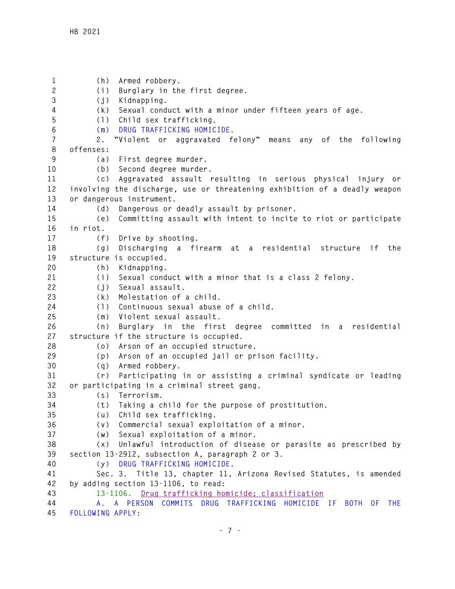**1 (h) Armed robbery. 2 (i) Burglary in the first degree. 3 (j) Kidnapping. 4 (k) Sexual conduct with a minor under fifteen years of age. 5 (l) Child sex trafficking. 6 (m) DRUG TRAFFICKING HOMICIDE. 7 2. "Violent or aggravated felony" means any of the following 8 offenses: 9 (a) First degree murder. 10 (b) Second degree murder. 11 (c) Aggravated assault resulting in serious physical injury or 12 involving the discharge, use or threatening exhibition of a deadly weapon 13 or dangerous instrument. 14 (d) Dangerous or deadly assault by prisoner. 15 (e) Committing assault with intent to incite to riot or participate 16 in riot. 17 (f) Drive by shooting. 18 (g) Discharging a firearm at a residential structure if the 19 structure is occupied. 20 (h) Kidnapping. 21 (i) Sexual conduct with a minor that is a class 2 felony. 22 (j) Sexual assault. 23 (k) Molestation of a child. 24 (l) Continuous sexual abuse of a child. 25 (m) Violent sexual assault. 26 (n) Burglary in the first degree committed in a residential 27 structure if the structure is occupied. 28 (o) Arson of an occupied structure. 29 (p) Arson of an occupied jail or prison facility. 30 (q) Armed robbery. 31 (r) Participating in or assisting a criminal syndicate or leading 32 or participating in a criminal street gang. 33 (s) Terrorism. 34 (t) Taking a child for the purpose of prostitution. 35 (u) Child sex trafficking. 36 (v) Commercial sexual exploitation of a minor. 37 (w) Sexual exploitation of a minor. 38 (x) Unlawful introduction of disease or parasite as prescribed by 39 section 13-2912, subsection A, paragraph 2 or 3. 40 (y) DRUG TRAFFICKING HOMICIDE. 41 Sec. 3. Title 13, chapter 11, Arizona Revised Statutes, is amended 42 by adding section 13-1106, to read: 43 13-1106. Drug trafficking homicide; classification 44 A. A PERSON COMMITS DRUG TRAFFICKING HOMICIDE IF BOTH OF THE 45 FOLLOWING APPLY:**